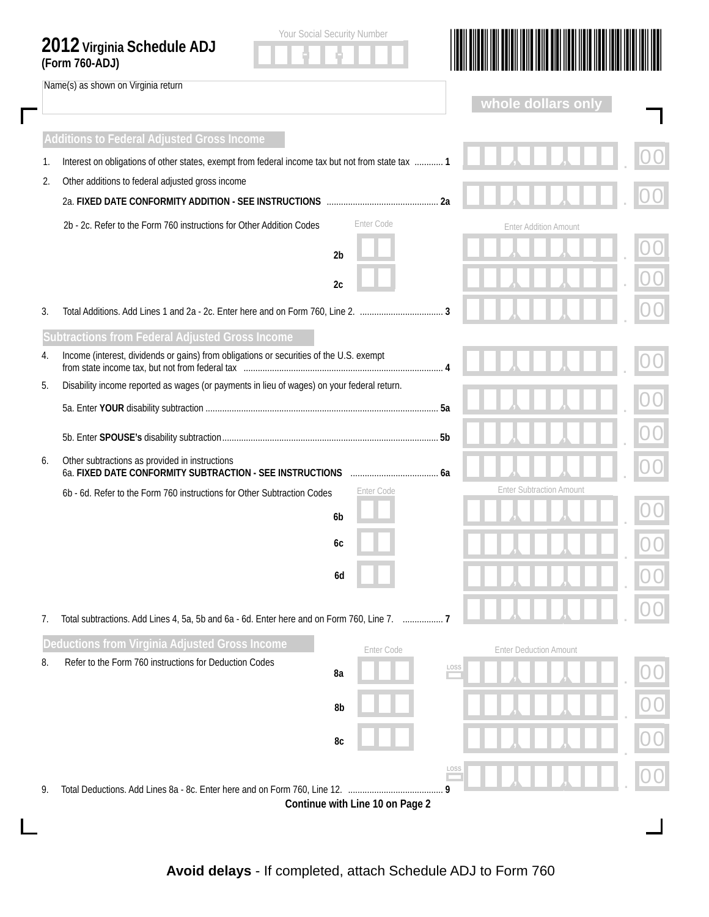|          | Name(s) as shown on Virginia return                                                                                                                    |                |            |      | whole dollars on              |                                 |  |
|----------|--------------------------------------------------------------------------------------------------------------------------------------------------------|----------------|------------|------|-------------------------------|---------------------------------|--|
|          |                                                                                                                                                        |                |            |      |                               |                                 |  |
|          | <b>Additions to Federal Adjusted Gross Income</b><br>Interest on obligations of other states, exempt from federal income tax but not from state tax  1 |                |            |      |                               |                                 |  |
| 1.<br>2. | Other additions to federal adjusted gross income                                                                                                       |                |            |      |                               |                                 |  |
|          |                                                                                                                                                        | 2a             |            |      |                               |                                 |  |
|          | 2b - 2c. Refer to the Form 760 instructions for Other Addition Codes                                                                                   |                | Enter Code |      |                               | <b>Enter Addition Amount</b>    |  |
|          |                                                                                                                                                        | 2 <sub>b</sub> |            |      |                               |                                 |  |
|          |                                                                                                                                                        | 2c             |            |      |                               |                                 |  |
|          |                                                                                                                                                        |                |            |      |                               |                                 |  |
| 3.       |                                                                                                                                                        |                |            |      |                               |                                 |  |
| 4.       | Subtractions from Federal Adjusted Gross Income<br>Income (interest, dividends or gains) from obligations or securities of the U.S. exempt             |                |            |      |                               |                                 |  |
| 5.       | Disability income reported as wages (or payments in lieu of wages) on your federal return.                                                             |                |            |      |                               |                                 |  |
|          |                                                                                                                                                        |                |            |      |                               |                                 |  |
|          |                                                                                                                                                        |                |            |      |                               |                                 |  |
| 6.       | Other subtractions as provided in instructions                                                                                                         |                |            |      |                               |                                 |  |
|          | 6a. FIXED DATE CONFORMITY SUBTRACTION - SEE INSTRUCTIONS                                                                                               |                |            |      |                               |                                 |  |
|          | 6b - 6d. Refer to the Form 760 instructions for Other Subtraction Codes                                                                                |                | Enter Code |      |                               | <b>Enter Subtraction Amount</b> |  |
|          |                                                                                                                                                        | 6 <sub>b</sub> |            |      |                               |                                 |  |
|          |                                                                                                                                                        | 6с             |            |      |                               |                                 |  |
|          |                                                                                                                                                        | 6d             |            |      |                               |                                 |  |
|          |                                                                                                                                                        |                |            |      |                               |                                 |  |
| 7.       | Total subtractions. Add Lines 4, 5a, 5b and 6a - 6d. Enter here and on Form 760, Line 7.  7                                                            |                |            |      |                               |                                 |  |
|          | Deductions from Virginia Adjusted Gross Income                                                                                                         |                | Enter Code |      | <b>Enter Deduction Amount</b> |                                 |  |
| 8.       | Refer to the Form 760 instructions for Deduction Codes                                                                                                 | 8a             |            | LOSS |                               |                                 |  |
|          |                                                                                                                                                        | 8b             |            |      |                               |                                 |  |
|          |                                                                                                                                                        |                |            |      |                               |                                 |  |
|          |                                                                                                                                                        | 8c             |            |      |                               |                                 |  |
|          |                                                                                                                                                        |                |            | LOSS |                               |                                 |  |